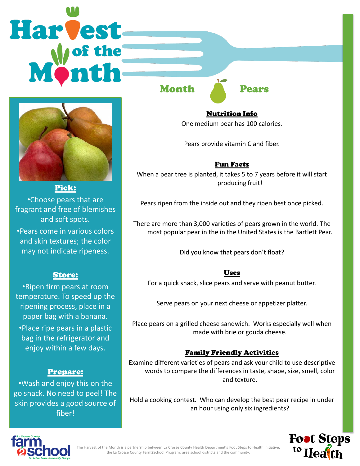# Harvest



## Pick:

•Choose pears that are fragrant and free of blemishes and soft spots.

•Pears come in various colors and skin textures; the color may not indicate ripeness.

# Store:

•Ripen firm pears at room temperature. To speed up the ripening process, place in a paper bag with a banana.

•Place ripe pears in a plastic bag in the refrigerator and enjoy within a few days.

# Prepare:

•Wash and enjoy this on the go snack. No need to peel! The skin provides a good source of fiber!

Month Pears

Nutrition Info One medium pear has 100 calories.

Pears provide vitamin C and fiber.

## Fun Facts

When a pear tree is planted, it takes 5 to 7 years before it will start producing fruit!

Pears ripen from the inside out and they ripen best once picked.

There are more than 3,000 varieties of pears grown in the world. The most popular pear in the in the United States is the Bartlett Pear.

Did you know that pears don't float?

#### Uses

For a quick snack, slice pears and serve with peanut butter.

Serve pears on your next cheese or appetizer platter.

Place pears on a grilled cheese sandwich. Works especially well when made with brie or gouda cheese.

# Family Friendly Activities

Examine different varieties of pears and ask your child to use descriptive words to compare the differences in taste, shape, size, smell, color and texture.

Hold a cooking contest. Who can develop the best pear recipe in under an hour using only six ingredients?